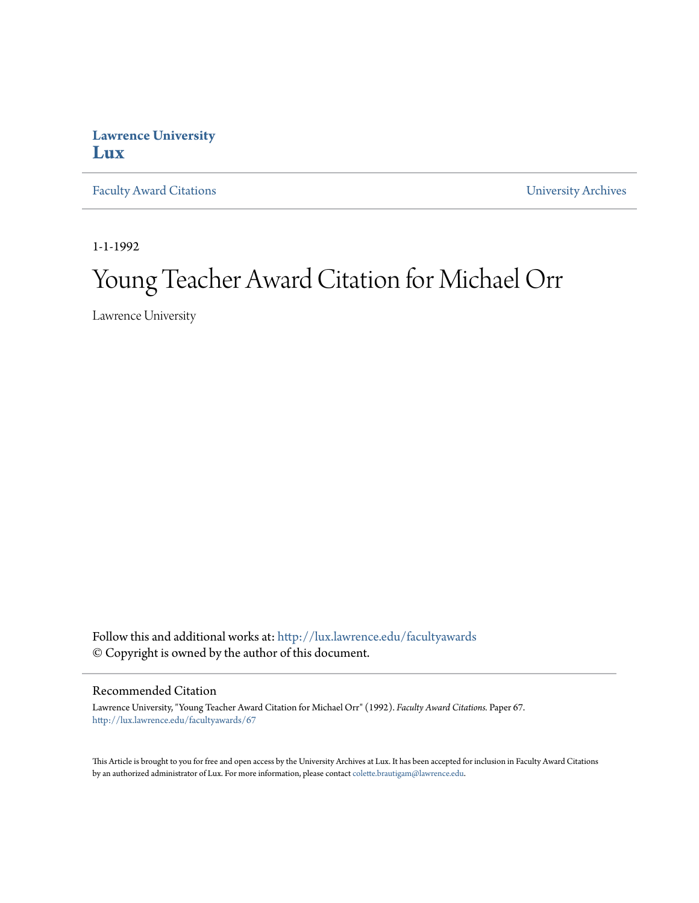## **Lawrence University [Lux](http://lux.lawrence.edu?utm_source=lux.lawrence.edu%2Ffacultyawards%2F67&utm_medium=PDF&utm_campaign=PDFCoverPages)**

[Faculty Award Citations](http://lux.lawrence.edu/facultyawards?utm_source=lux.lawrence.edu%2Ffacultyawards%2F67&utm_medium=PDF&utm_campaign=PDFCoverPages) **Example 2018** [University Archives](http://lux.lawrence.edu/archives?utm_source=lux.lawrence.edu%2Ffacultyawards%2F67&utm_medium=PDF&utm_campaign=PDFCoverPages)

1-1-1992

# Young Teacher Award Citation for Michael Orr

Lawrence University

Follow this and additional works at: [http://lux.lawrence.edu/facultyawards](http://lux.lawrence.edu/facultyawards?utm_source=lux.lawrence.edu%2Ffacultyawards%2F67&utm_medium=PDF&utm_campaign=PDFCoverPages) © Copyright is owned by the author of this document.

#### Recommended Citation

Lawrence University, "Young Teacher Award Citation for Michael Orr" (1992). *Faculty Award Citations.* Paper 67. [http://lux.lawrence.edu/facultyawards/67](http://lux.lawrence.edu/facultyawards/67?utm_source=lux.lawrence.edu%2Ffacultyawards%2F67&utm_medium=PDF&utm_campaign=PDFCoverPages)

This Article is brought to you for free and open access by the University Archives at Lux. It has been accepted for inclusion in Faculty Award Citations by an authorized administrator of Lux. For more information, please contact [colette.brautigam@lawrence.edu](mailto:colette.brautigam@lawrence.edu).